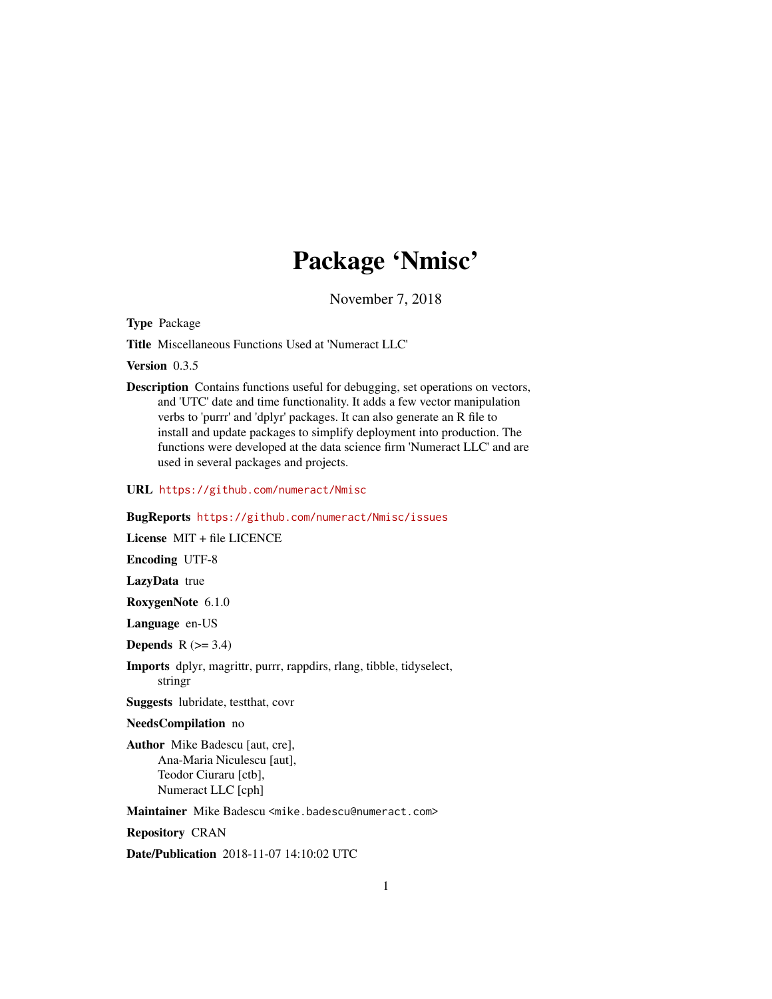# Package 'Nmisc'

November 7, 2018

<span id="page-0-0"></span>Type Package

Title Miscellaneous Functions Used at 'Numeract LLC'

Version 0.3.5

Description Contains functions useful for debugging, set operations on vectors, and 'UTC' date and time functionality. It adds a few vector manipulation verbs to 'purrr' and 'dplyr' packages. It can also generate an R file to install and update packages to simplify deployment into production. The functions were developed at the data science firm 'Numeract LLC' and are used in several packages and projects.

URL <https://github.com/numeract/Nmisc>

#### BugReports <https://github.com/numeract/Nmisc/issues>

License MIT + file LICENCE

Encoding UTF-8

LazyData true

RoxygenNote 6.1.0

Language en-US

Depends  $R$  ( $>= 3.4$ )

Imports dplyr, magrittr, purrr, rappdirs, rlang, tibble, tidyselect, stringr

Suggests lubridate, testthat, covr

#### NeedsCompilation no

Author Mike Badescu [aut, cre], Ana-Maria Niculescu [aut], Teodor Ciuraru [ctb], Numeract LLC [cph]

Maintainer Mike Badescu <mike.badescu@numeract.com>

Repository CRAN

Date/Publication 2018-11-07 14:10:02 UTC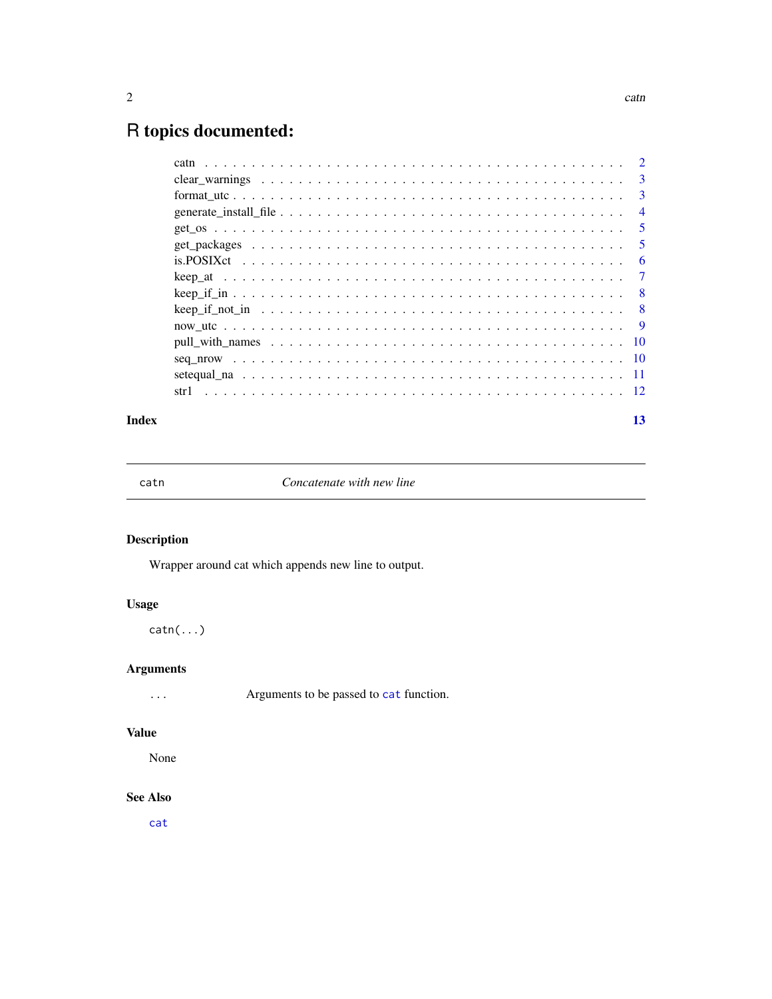## <span id="page-1-0"></span>R topics documented:

|      | -3             |
|------|----------------|
|      | -3             |
|      | $\overline{4}$ |
|      | -5             |
|      | -5             |
|      | 6              |
|      | $\overline{7}$ |
|      | - 8            |
|      | - 8            |
|      | - 9            |
|      |                |
|      |                |
|      |                |
| str1 |                |
|      |                |

#### **Index** [13](#page-12-0)

catn *Concatenate with new line*

#### Description

Wrapper around cat which appends new line to output.

#### Usage

catn(...)

#### Arguments

... Arguments to be passed to [cat](#page-0-0) function.

#### Value

None

#### See Also

[cat](#page-0-0)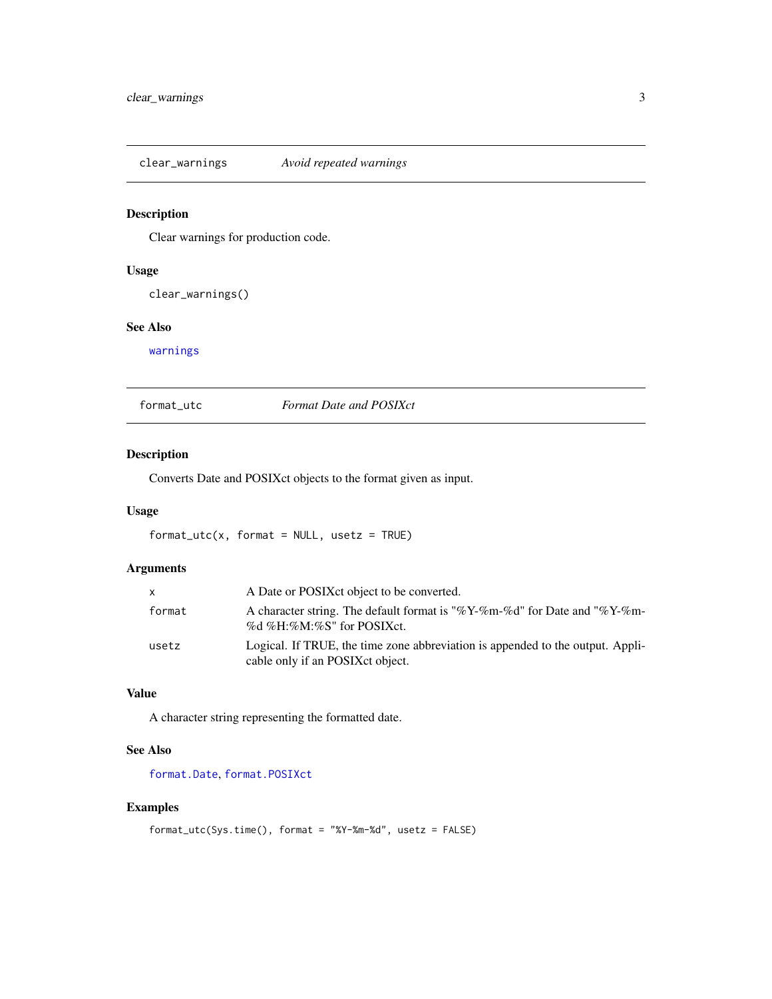<span id="page-2-0"></span>clear\_warnings *Avoid repeated warnings*

#### Description

Clear warnings for production code.

#### Usage

clear\_warnings()

#### See Also

[warnings](#page-0-0)

format\_utc *Format Date and POSIXct*

#### Description

Converts Date and POSIXct objects to the format given as input.

#### Usage

 $format\_utc(x, format = NULL, usetz = TRUE)$ 

#### Arguments

| X      | A Date or POSIX ct object to be converted.                                                                          |
|--------|---------------------------------------------------------------------------------------------------------------------|
| format | A character string. The default format is "%Y-%m-%d" for Date and "%Y-%m-<br>%d %H:%M:%S" for POSIXct.              |
| usetz  | Logical. If TRUE, the time zone abbreviation is appended to the output. Appli-<br>cable only if an POSIX ct object. |

### Value

A character string representing the formatted date.

#### See Also

[format.Date](#page-0-0), [format.POSIXct](#page-0-0)

#### Examples

```
format_utc(Sys.time(), format = "%Y-%m-%d", usetz = FALSE)
```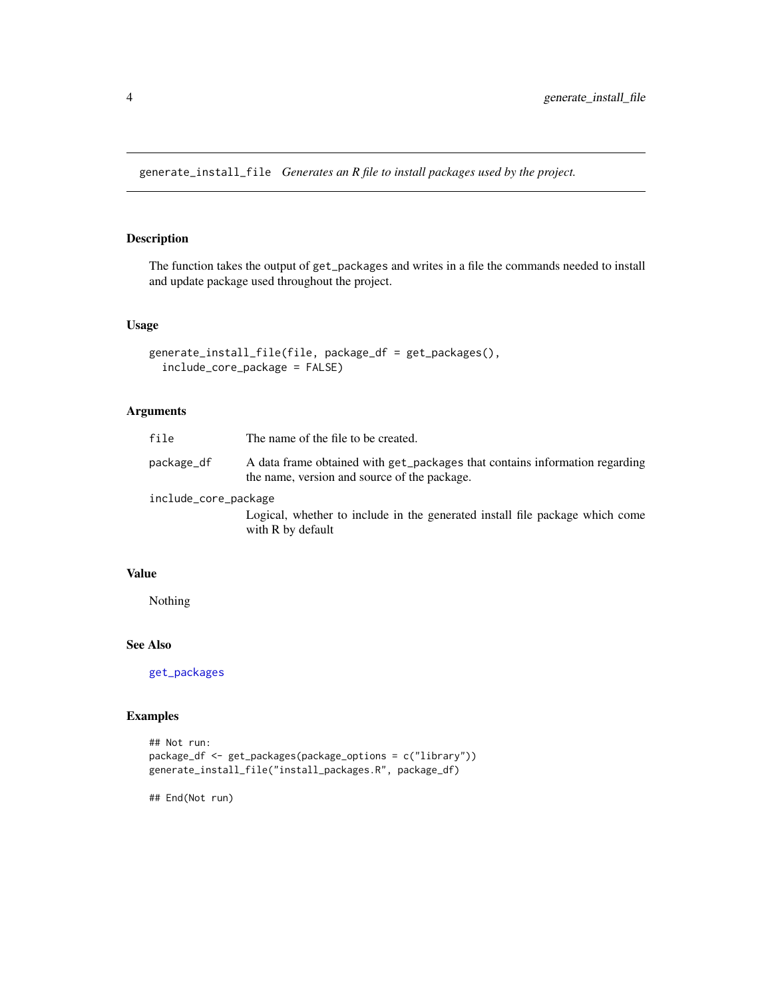<span id="page-3-1"></span><span id="page-3-0"></span>generate\_install\_file *Generates an R file to install packages used by the project.*

#### Description

The function takes the output of get\_packages and writes in a file the commands needed to install and update package used throughout the project.

#### Usage

```
generate_install_file(file, package_df = get_packages(),
  include_core_package = FALSE)
```
#### Arguments

| file                 | The name of the file to be created.                                                                                         |
|----------------------|-----------------------------------------------------------------------------------------------------------------------------|
| package_df           | A data frame obtained with get_packages that contains information regarding<br>the name, version and source of the package. |
| include_core_package |                                                                                                                             |
|                      | Logical, whether to include in the generated install file package which come<br>with R by default                           |

#### Value

Nothing

#### See Also

[get\\_packages](#page-4-1)

#### Examples

```
## Not run:
package_df <- get_packages(package_options = c("library"))
generate_install_file("install_packages.R", package_df)
```
## End(Not run)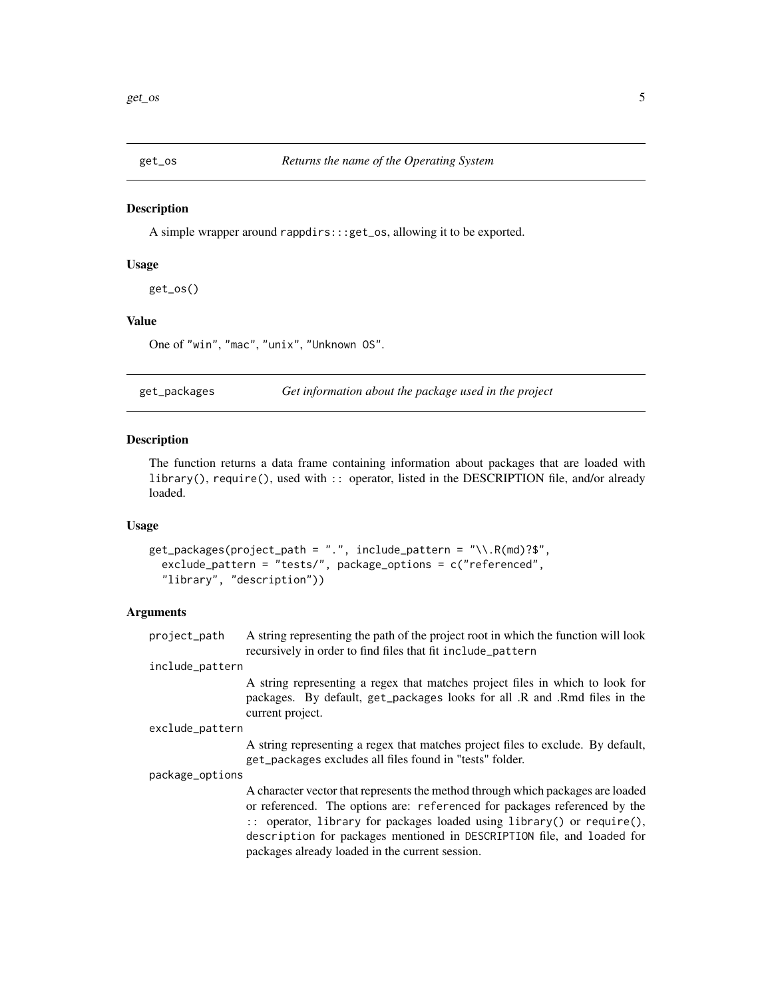<span id="page-4-0"></span>

A simple wrapper around rappdirs:::get\_os, allowing it to be exported.

#### Usage

get\_os()

#### Value

One of "win", "mac", "unix", "Unknown OS".

<span id="page-4-1"></span>get\_packages *Get information about the package used in the project*

#### **Description**

The function returns a data frame containing information about packages that are loaded with library(), require(), used with :: operator, listed in the DESCRIPTION file, and/or already loaded.

#### Usage

```
get_packages(project_path = ".", include_pattern = "\\.R(md)?$",
  exclude_pattern = "tests/", package_options = c("referenced",
  "library", "description"))
```
#### Arguments

| project_path | A string representing the path of the project root in which the function will look |
|--------------|------------------------------------------------------------------------------------|
|              | recursively in order to find files that fit include pattern                        |

#### include\_pattern

A string representing a regex that matches project files in which to look for packages. By default, get\_packages looks for all .R and .Rmd files in the current project.

```
exclude_pattern
```
A string representing a regex that matches project files to exclude. By default, get\_packages excludes all files found in "tests" folder.

package\_options

A character vector that represents the method through which packages are loaded or referenced. The options are: referenced for packages referenced by the :: operator, library for packages loaded using library() or require(), description for packages mentioned in DESCRIPTION file, and loaded for packages already loaded in the current session.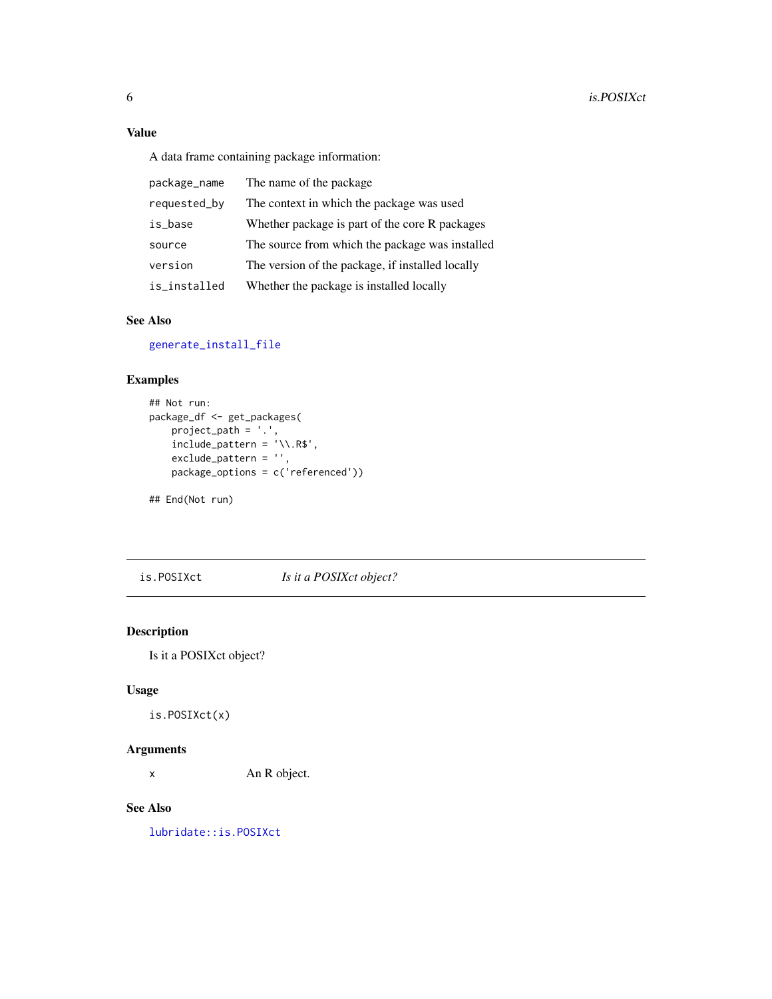#### <span id="page-5-0"></span>Value

A data frame containing package information:

| package_name | The name of the package                          |
|--------------|--------------------------------------------------|
| requested_by | The context in which the package was used        |
| is_base      | Whether package is part of the core R packages   |
| source       | The source from which the package was installed  |
| version      | The version of the package, if installed locally |
| is_installed | Whether the package is installed locally         |

#### See Also

[generate\\_install\\_file](#page-3-1)

#### Examples

```
## Not run:
package_df <- get_packages(
    project_path = '.',
    include<sub>pattern</sub> = '\\\.R$',
    exclude_pattern = '',
    package_options = c('referenced'))
```
## End(Not run)

is.POSIXct *Is it a POSIXct object?*

#### Description

Is it a POSIXct object?

#### Usage

is.POSIXct(x)

#### Arguments

x An R object.

#### See Also

[lubridate::is.POSIXct](#page-0-0)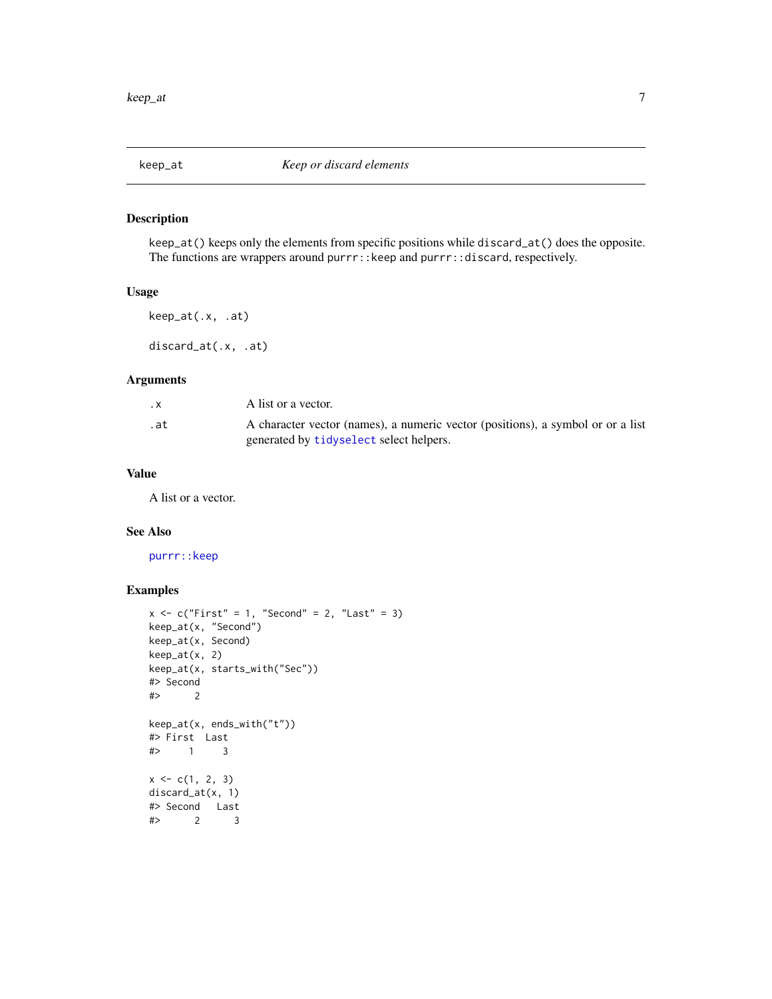<span id="page-6-0"></span>

keep\_at() keeps only the elements from specific positions while discard\_at() does the opposite. The functions are wrappers around purrr::keep and purrr::discard, respectively.

#### Usage

keep\_at(.x, .at)

discard\_at(.x, .at)

#### Arguments

| . X | A list or a vector.                                                                                                        |
|-----|----------------------------------------------------------------------------------------------------------------------------|
| .at | A character vector (names), a numeric vector (positions), a symbol or or a list<br>generated by tidyselect select helpers. |
|     |                                                                                                                            |

#### Value

A list or a vector.

#### See Also

[purrr::keep](#page-0-0)

#### Examples

```
x \leq c("First" = 1, "Second" = 2, "Last" = 3)keep_at(x, "Second")
keep_at(x, Second)
keep_at(x, 2)
keep_at(x, starts_with("Sec"))
#> Second
#> 2
keep_at(x, ends_with("t"))
#> First Last
# 1
x \leq c(1, 2, 3)discard_at(x, 1)
# > Second Last<br># > 2 3
   2 3
```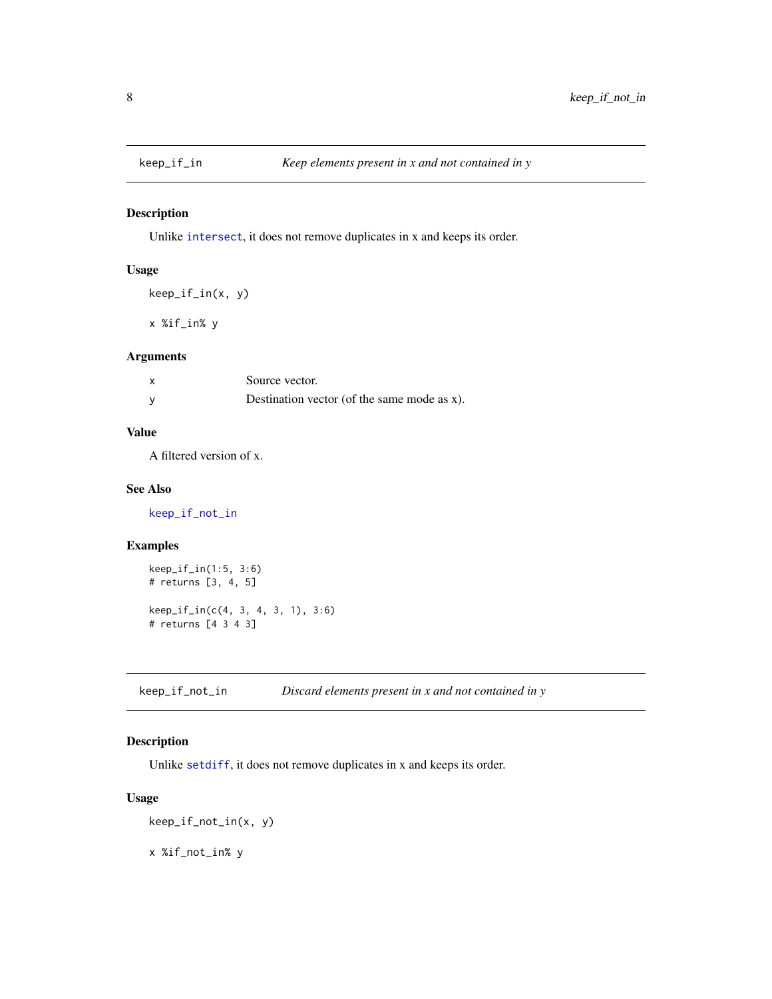<span id="page-7-2"></span><span id="page-7-0"></span>

Unlike [intersect](#page-0-0), it does not remove duplicates in x and keeps its order.

#### Usage

```
keep_if_in(x, y)
```
x %if\_in% y

#### Arguments

| Source vector.                              |
|---------------------------------------------|
| Destination vector (of the same mode as x). |

#### Value

A filtered version of x.

#### See Also

[keep\\_if\\_not\\_in](#page-7-1)

#### Examples

```
keep_if_in(1:5, 3:6)
# returns [3, 4, 5]
keep_if_in(c(4, 3, 4, 3, 1), 3:6)
# returns [4 3 4 3]
```
<span id="page-7-1"></span>keep\_if\_not\_in *Discard elements present in x and not contained in y*

#### Description

Unlike [setdiff](#page-0-0), it does not remove duplicates in x and keeps its order.

#### Usage

keep\_if\_not\_in(x, y)

x %if\_not\_in% y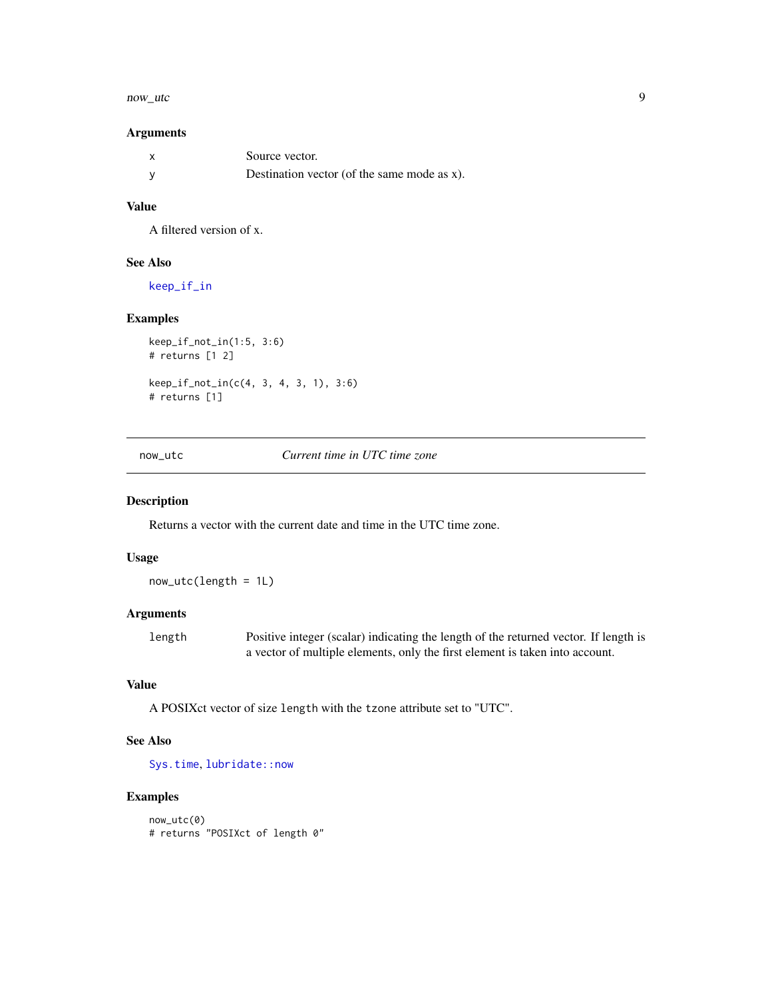#### <span id="page-8-0"></span>now\_utc 9

#### Arguments

| $\boldsymbol{\mathsf{x}}$ | Source vector.                              |
|---------------------------|---------------------------------------------|
| <b>V</b>                  | Destination vector (of the same mode as x). |

#### Value

A filtered version of x.

#### See Also

[keep\\_if\\_in](#page-7-2)

#### Examples

```
keep_if_not_in(1:5, 3:6)
# returns [1 2]
keep_if_not_in(c(4, 3, 4, 3, 1), 3:6)
# returns [1]
```
now\_utc *Current time in UTC time zone*

#### Description

Returns a vector with the current date and time in the UTC time zone.

#### Usage

now\_utc(length = 1L)

#### Arguments

length Positive integer (scalar) indicating the length of the returned vector. If length is a vector of multiple elements, only the first element is taken into account.

#### Value

A POSIXct vector of size length with the tzone attribute set to "UTC".

#### See Also

[Sys.time](#page-0-0), [lubridate::now](#page-0-0)

#### Examples

now\_utc(0) # returns "POSIXct of length 0"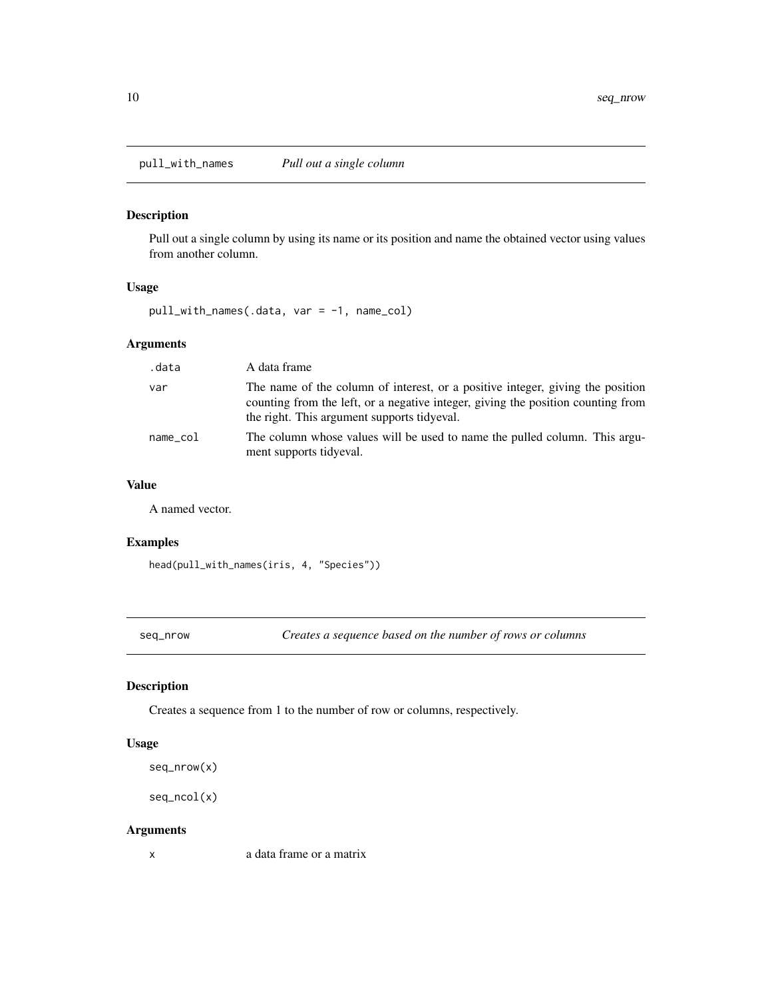<span id="page-9-0"></span>pull\_with\_names *Pull out a single column*

#### Description

Pull out a single column by using its name or its position and name the obtained vector using values from another column.

#### Usage

pull\_with\_names(.data, var = -1, name\_col)

#### Arguments

| .data    | A data frame                                                                                                                                                                                                      |
|----------|-------------------------------------------------------------------------------------------------------------------------------------------------------------------------------------------------------------------|
| var      | The name of the column of interest, or a positive integer, giving the position<br>counting from the left, or a negative integer, giving the position counting from<br>the right. This argument supports tidyeval. |
| name col | The column whose values will be used to name the pulled column. This argu-<br>ment supports tidyeval.                                                                                                             |

#### Value

A named vector.

#### Examples

head(pull\_with\_names(iris, 4, "Species"))

seq\_nrow *Creates a sequence based on the number of rows or columns*

#### Description

Creates a sequence from 1 to the number of row or columns, respectively.

#### Usage

```
seq_nrow(x)
```

```
seq_ncol(x)
```
#### Arguments

x a data frame or a matrix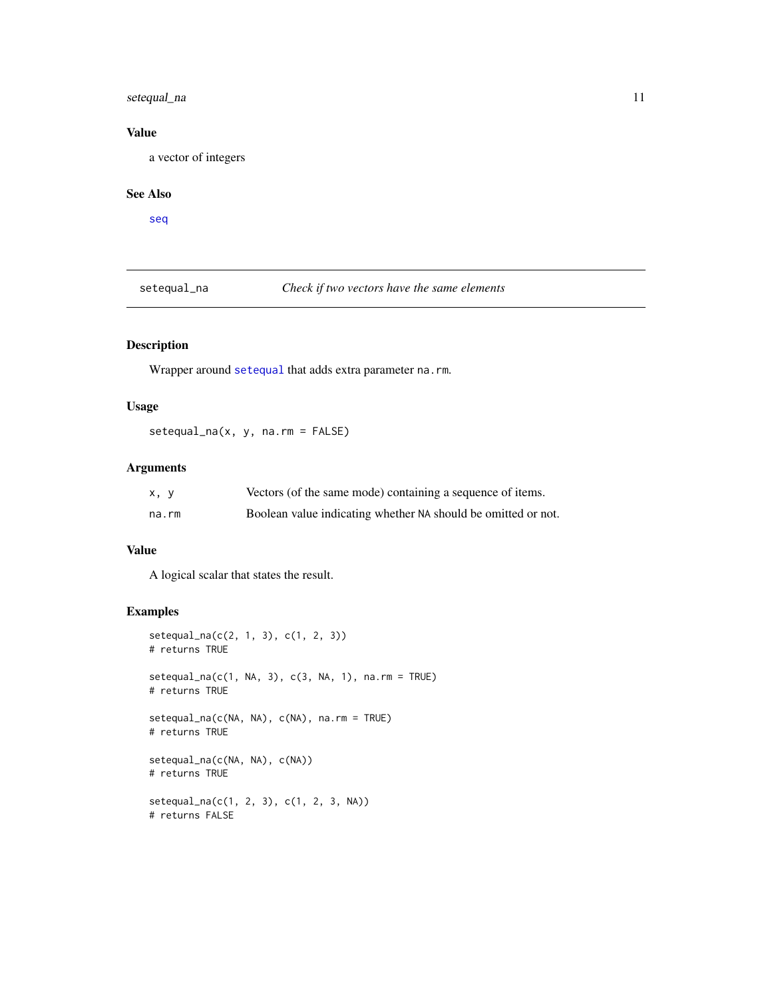#### <span id="page-10-0"></span>setequal\_na 11

#### Value

a vector of integers

#### See Also

[seq](#page-0-0)

setequal\_na *Check if two vectors have the same elements*

#### Description

Wrapper around [setequal](#page-0-0) that adds extra parameter na.rm.

#### Usage

setequal\_na(x, y, na.rm = FALSE)

#### Arguments

| x, y  | Vectors (of the same mode) containing a sequence of items.    |
|-------|---------------------------------------------------------------|
| na.rm | Boolean value indicating whether NA should be omitted or not. |

#### Value

A logical scalar that states the result.

#### Examples

```
setequal_na(c(2, 1, 3), c(1, 2, 3))# returns TRUE
setequal_na(c(1, NA, 3), c(3, NA, 1), na.rm = TRUE)# returns TRUE
setequal_na(c(NA, NA), c(NA), na.rm = TRUE)
# returns TRUE
setequal_na(c(NA, NA), c(NA))
# returns TRUE
setequal_na(c(1, 2, 3), c(1, 2, 3, NA))
# returns FALSE
```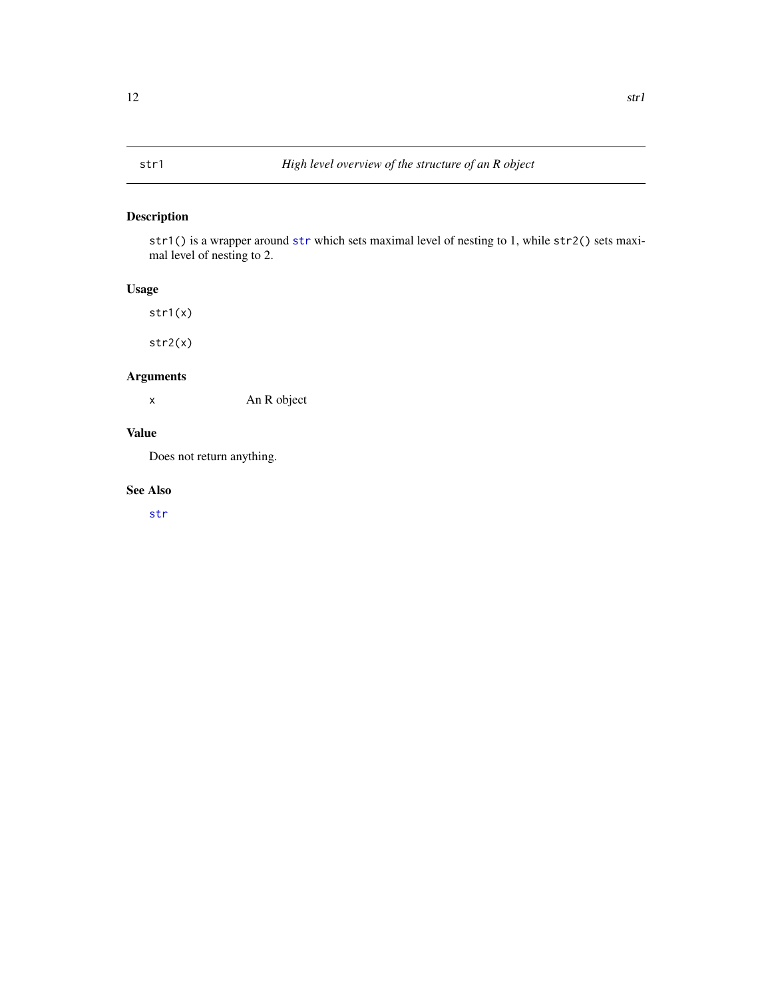<span id="page-11-0"></span>[str](#page-0-0)1() is a wrapper around str which sets maximal level of nesting to 1, while str2() sets maximal level of nesting to 2.

#### Usage

str1(x)

str2(x)

#### Arguments

x An R object

#### Value

Does not return anything.

#### See Also

[str](#page-0-0)